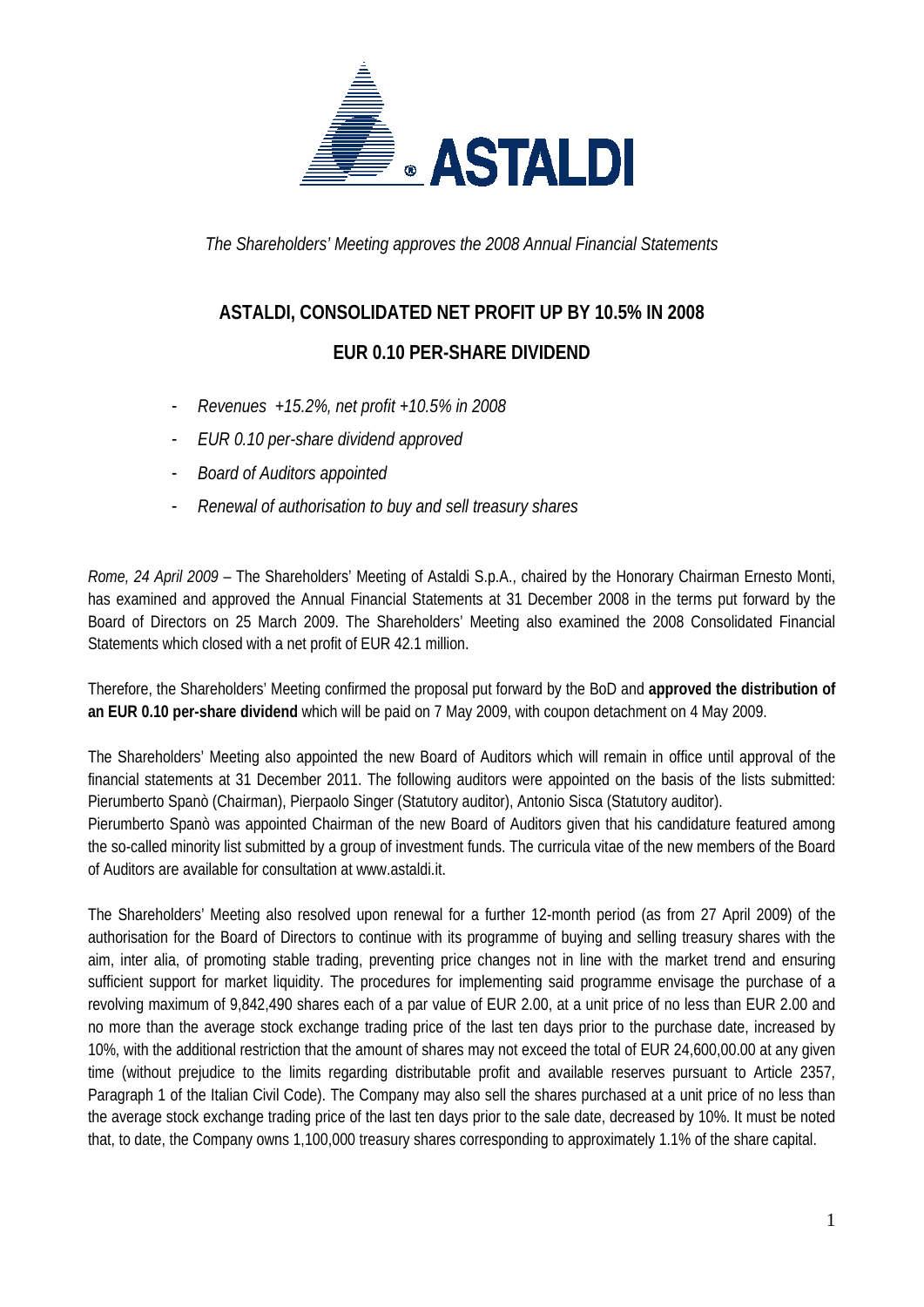

*The Shareholders' Meeting approves the 2008 Annual Financial Statements* 

## **ASTALDI, CONSOLIDATED NET PROFIT UP BY 10.5% IN 2008**

## **EUR 0.10 PER-SHARE DIVIDEND**

- *Revenues +15.2%, net profit +10.5% in 2008*
- *EUR 0.10 per-share dividend approved*
- *Board of Auditors appointed*
- *Renewal of authorisation to buy and sell treasury shares*

*Rome, 24 April 2009* – The Shareholders' Meeting of Astaldi S.p.A., chaired by the Honorary Chairman Ernesto Monti, has examined and approved the Annual Financial Statements at 31 December 2008 in the terms put forward by the Board of Directors on 25 March 2009. The Shareholders' Meeting also examined the 2008 Consolidated Financial Statements which closed with a net profit of EUR 42.1 million.

Therefore, the Shareholders' Meeting confirmed the proposal put forward by the BoD and **approved the distribution of an EUR 0.10 per-share dividend** which will be paid on 7 May 2009, with coupon detachment on 4 May 2009.

The Shareholders' Meeting also appointed the new Board of Auditors which will remain in office until approval of the financial statements at 31 December 2011. The following auditors were appointed on the basis of the lists submitted: Pierumberto Spanò (Chairman), Pierpaolo Singer (Statutory auditor), Antonio Sisca (Statutory auditor). Pierumberto Spanò was appointed Chairman of the new Board of Auditors given that his candidature featured among the so-called minority list submitted by a group of investment funds. The curricula vitae of the new members of the Board of Auditors are available for consultation at www.astaldi.it.

The Shareholders' Meeting also resolved upon renewal for a further 12-month period (as from 27 April 2009) of the authorisation for the Board of Directors to continue with its programme of buying and selling treasury shares with the aim, inter alia, of promoting stable trading, preventing price changes not in line with the market trend and ensuring sufficient support for market liquidity. The procedures for implementing said programme envisage the purchase of a revolving maximum of 9,842,490 shares each of a par value of EUR 2.00, at a unit price of no less than EUR 2.00 and no more than the average stock exchange trading price of the last ten days prior to the purchase date, increased by 10%, with the additional restriction that the amount of shares may not exceed the total of EUR 24,600,00.00 at any given time (without prejudice to the limits regarding distributable profit and available reserves pursuant to Article 2357, Paragraph 1 of the Italian Civil Code). The Company may also sell the shares purchased at a unit price of no less than the average stock exchange trading price of the last ten days prior to the sale date, decreased by 10%. It must be noted that, to date, the Company owns 1,100,000 treasury shares corresponding to approximately 1.1% of the share capital.